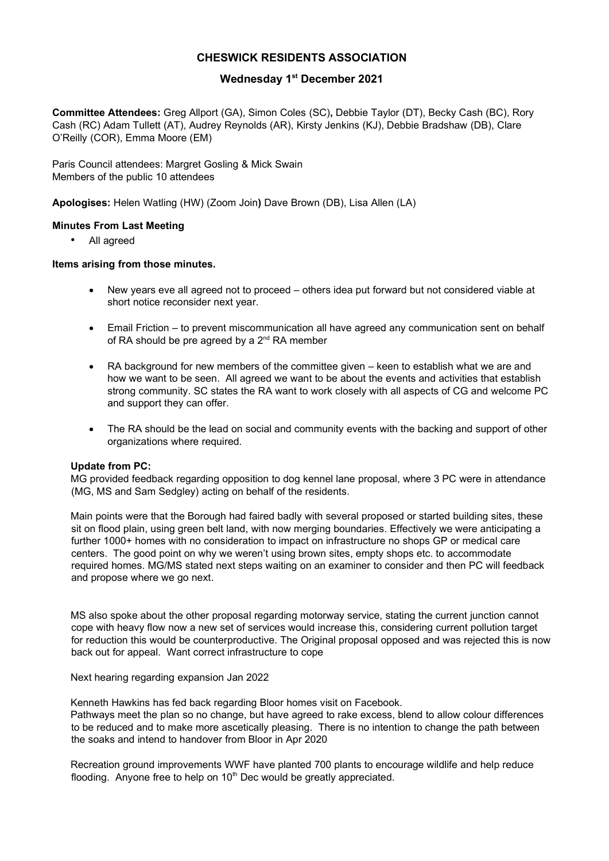# CHESWICK RESIDENTS ASSOCIATION

# Wednesday 1<sup>st</sup> December 2021

Committee Attendees: Greg Allport (GA), Simon Coles (SC), Debbie Taylor (DT), Becky Cash (BC), Rory Cash (RC) Adam Tullett (AT), Audrey Reynolds (AR), Kirsty Jenkins (KJ), Debbie Bradshaw (DB), Clare O'Reilly (COR), Emma Moore (EM)

Paris Council attendees: Margret Gosling & Mick Swain Members of the public 10 attendees

Apologises: Helen Watling (HW) (Zoom Join) Dave Brown (DB), Lisa Allen (LA)

# Minutes From Last Meeting

All agreed

# Items arising from those minutes.

- New years eve all agreed not to proceed others idea put forward but not considered viable at short notice reconsider next year.
- Email Friction to prevent miscommunication all have agreed any communication sent on behalf of RA should be pre agreed by a  $2^{nd}$  RA member
- RA background for new members of the committee given keen to establish what we are and how we want to be seen. All agreed we want to be about the events and activities that establish strong community. SC states the RA want to work closely with all aspects of CG and welcome PC and support they can offer.
- The RA should be the lead on social and community events with the backing and support of other organizations where required.

### Update from PC:

MG provided feedback regarding opposition to dog kennel lane proposal, where 3 PC were in attendance (MG, MS and Sam Sedgley) acting on behalf of the residents.

Main points were that the Borough had faired badly with several proposed or started building sites, these sit on flood plain, using green belt land, with now merging boundaries. Effectively we were anticipating a further 1000+ homes with no consideration to impact on infrastructure no shops GP or medical care centers. The good point on why we weren't using brown sites, empty shops etc. to accommodate required homes. MG/MS stated next steps waiting on an examiner to consider and then PC will feedback and propose where we go next.

MS also spoke about the other proposal regarding motorway service, stating the current junction cannot cope with heavy flow now a new set of services would increase this, considering current pollution target for reduction this would be counterproductive. The Original proposal opposed and was rejected this is now back out for appeal. Want correct infrastructure to cope

Next hearing regarding expansion Jan 2022

Kenneth Hawkins has fed back regarding Bloor homes visit on Facebook. Pathways meet the plan so no change, but have agreed to rake excess, blend to allow colour differences to be reduced and to make more ascetically pleasing. There is no intention to change the path between the soaks and intend to handover from Bloor in Apr 2020

Recreation ground improvements WWF have planted 700 plants to encourage wildlife and help reduce flooding. Anyone free to help on  $10<sup>th</sup>$  Dec would be greatly appreciated.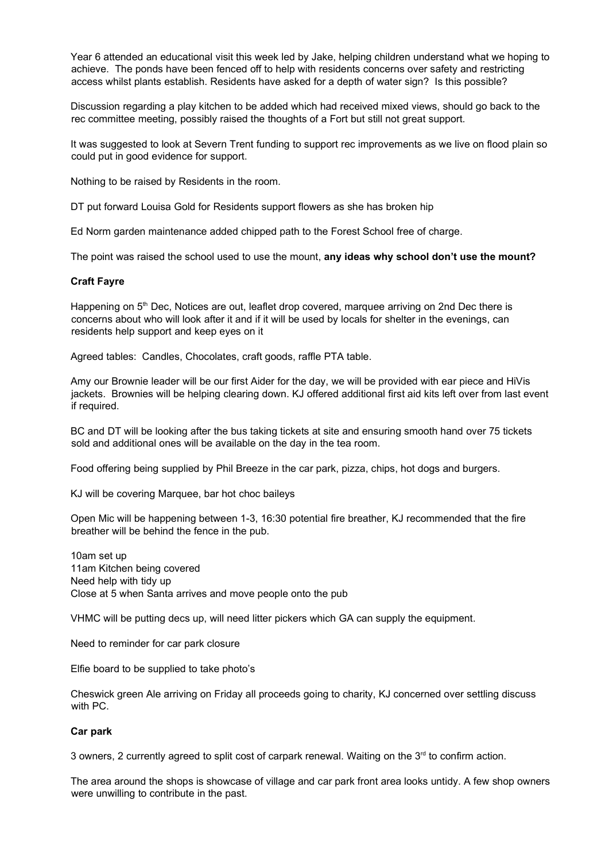Year 6 attended an educational visit this week led by Jake, helping children understand what we hoping to achieve. The ponds have been fenced off to help with residents concerns over safety and restricting access whilst plants establish. Residents have asked for a depth of water sign? Is this possible?

Discussion regarding a play kitchen to be added which had received mixed views, should go back to the rec committee meeting, possibly raised the thoughts of a Fort but still not great support.

It was suggested to look at Severn Trent funding to support rec improvements as we live on flood plain so could put in good evidence for support.

Nothing to be raised by Residents in the room.

DT put forward Louisa Gold for Residents support flowers as she has broken hip

Ed Norm garden maintenance added chipped path to the Forest School free of charge.

The point was raised the school used to use the mount, any ideas why school don't use the mount?

# Craft Fayre

Happening on 5<sup>th</sup> Dec, Notices are out, leaflet drop covered, marquee arriving on 2nd Dec there is concerns about who will look after it and if it will be used by locals for shelter in the evenings, can residents help support and keep eyes on it

Agreed tables: Candles, Chocolates, craft goods, raffle PTA table.

Amy our Brownie leader will be our first Aider for the day, we will be provided with ear piece and HiVis jackets. Brownies will be helping clearing down. KJ offered additional first aid kits left over from last event if required.

BC and DT will be looking after the bus taking tickets at site and ensuring smooth hand over 75 tickets sold and additional ones will be available on the day in the tea room.

Food offering being supplied by Phil Breeze in the car park, pizza, chips, hot dogs and burgers.

KJ will be covering Marquee, bar hot choc baileys

Open Mic will be happening between 1-3, 16:30 potential fire breather, KJ recommended that the fire breather will be behind the fence in the pub.

10am set up 11am Kitchen being covered Need help with tidy up Close at 5 when Santa arrives and move people onto the pub

VHMC will be putting decs up, will need litter pickers which GA can supply the equipment.

Need to reminder for car park closure

Elfie board to be supplied to take photo's

Cheswick green Ale arriving on Friday all proceeds going to charity, KJ concerned over settling discuss with PC.

### Car park

3 owners, 2 currently agreed to split cost of carpark renewal. Waiting on the  $3<sup>rd</sup>$  to confirm action.

The area around the shops is showcase of village and car park front area looks untidy. A few shop owners were unwilling to contribute in the past.